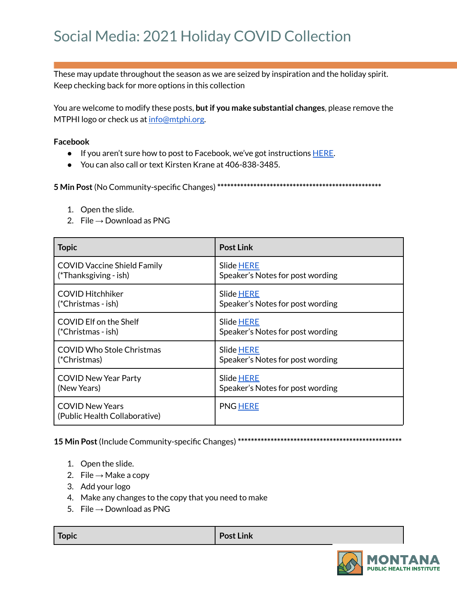## Social Media: 2021 Holiday COVID Collection

These may update throughout the season as we are seized by inspiration and the holiday spirit. Keep checking back for more options in this collection

You are welcome to modify these posts, **butif you make substantial changes**, please remove the MTPHI logo or check us at [info@mtphi.org.](mailto:info@mtphi.org)

## **Facebook**

- If you aren't sure how to post to Facebook, we've got instructions [HERE](https://docs.google.com/document/d/1lPT5OlsdAcd5UzGaS0B-kcM4cndZhiOHd2b7c3r7f5Q/edit?usp=sharing).
- You can also call or text Kirsten Krane at 406-838-3485.

**5 Min Post**(No Community-specific Changes) **\*\*\*\*\*\*\*\*\*\*\*\*\*\*\*\*\*\*\*\*\*\*\*\*\*\*\*\*\*\*\*\*\*\*\*\*\*\*\*\*\*\*\*\*\*\*\*\*\*\***

- 1. Open the slide.
- 2. File  $\rightarrow$  Download as PNG

| <b>Topic</b>                                            | <b>Post Link</b>                 |
|---------------------------------------------------------|----------------------------------|
| <b>COVID Vaccine Shield Family</b>                      | Slide HERE                       |
| (*Thanksgiving - ish)                                   | Speaker's Notes for post wording |
| <b>COVID Hitchhiker</b>                                 | Slide HERE                       |
| (*Christmas - ish)                                      | Speaker's Notes for post wording |
| COVID Elf on the Shelf                                  | Slide HERE                       |
| (*Christmas - ish)                                      | Speaker's Notes for post wording |
| <b>COVID Who Stole Christmas</b>                        | <b>Slide HERE</b>                |
| (*Christmas)                                            | Speaker's Notes for post wording |
| <b>COVID New Year Party</b>                             | Slide HERE                       |
| (New Years)                                             | Speaker's Notes for post wording |
| <b>COVID New Years</b><br>(Public Health Collaborative) | <b>PNG HERE</b>                  |

**15 Min Post**(Include Community-specific Changes) **\*\*\*\*\*\*\*\*\*\*\*\*\*\*\*\*\*\*\*\*\*\*\*\*\*\*\*\*\*\*\*\*\*\*\*\*\*\*\*\*\*\*\*\*\*\*\*\*\*\***

- 1. Open the slide.
- 2. File  $\rightarrow$  Make a copy
- 3. Add your logo
- 4. Make any changes to the copy that you need to make
- 5. File  $\rightarrow$  Download as PNG